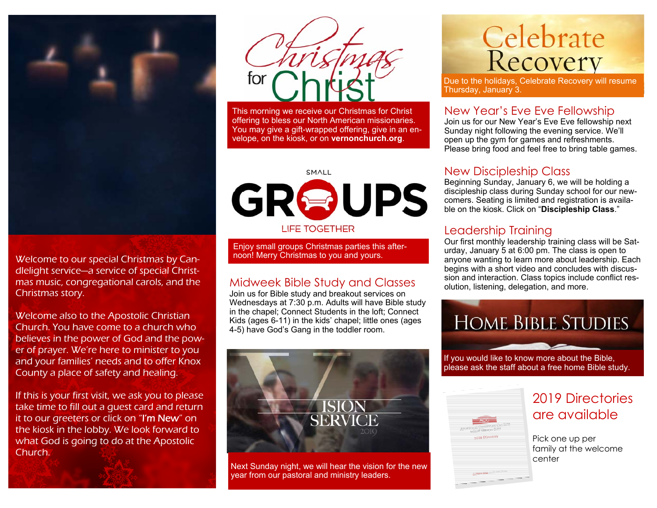

Welcome to our special Christmas by Candlelight service—a service of special Christmas music, congregational carols, and the Christmas story.

Welcome also to the Apostolic Christian Church. You have come to a church who believes in the power of God and the power of prayer. We're here to minister to you and your families' needs and to offer Knox County a place of safety and healing.

If this is your first visit, we ask you to please take time to fill out a guest card and return it to our greeters or click on "I'm New" on the kiosk in the lobby. We look forward to what God is going to do at the Apostolic Church.



This morning we receive our Christmas for Christ offering to bless our North American missionaries. You may give a gift-wrapped offering, give in an envelope, on the kiosk, or on **vernonchurch.org**.



Enjoy small groups Christmas parties this after-<br>noon! Merry Christmas to you and yours.

#### Midweek Bible Study and Classes

Join us for Bible study and breakout services on Wednesdays at 7:30 p.m. Adults will have Bible study in the chapel; Connect Students in the loft; Connect Kids (ages 6-11) in the kids' chapel; little ones (ages 4-5) have God's Gang in the toddler room.



Next Sunday night, we will hear the vision for the new year from our pastoral and ministry leaders.

# Celebrate<br>Recovery

Due to the holidays, Celebrate Recovery will resume Thursday, January 3.

#### New Year's Eve Eve Fellowship

Join us for our New Year's Eve Eve fellowship next Sunday night following the evening service. We'll open up the gym for games and refreshments. Please bring food and feel free to bring table games.

#### New Discipleship Class

Beginning Sunday, January 6, we will be holding a discipleship class during Sunday school for our newcomers. Seating is limited and registration is available on the kiosk. Click on "**Discipleship Class**."

#### Leadership Training

Our first monthly leadership training class will be Saturday, January 5 at 6:00 pm. The class is open to anyone wanting to learn more about leadership. Each begins with a short video and concludes with discussion and interaction. Class topics include conflict resolution, listening, delegation, and more.



If you would like to know more about the Bible, please ask the staff about a free home Bible study.

|                                           |     |               | Antonio Calenza Catal    |                     |
|-------------------------------------------|-----|---------------|--------------------------|---------------------|
| ÷<br>Ξ<br>Ξ<br>ī<br>۰<br>÷<br>۰<br>۰      |     | unse friendom |                          |                     |
| Ξ<br>Ξ<br>Ξ<br>Ξ<br>Ē<br>ī                |     |               |                          |                     |
| ÷<br>٠<br>=<br>٠<br>=<br>-<br>=<br>=<br>Ξ |     |               | <b>Service Company</b>   |                     |
| ÷<br>۰<br>Ξ<br>Ξ<br>۰<br><b>Side of</b>   | --- | ---<br>--     | $\overline{\phantom{a}}$ | <b>The Contract</b> |

### 2019 Directories are available

Pick one up per family at the welcome center